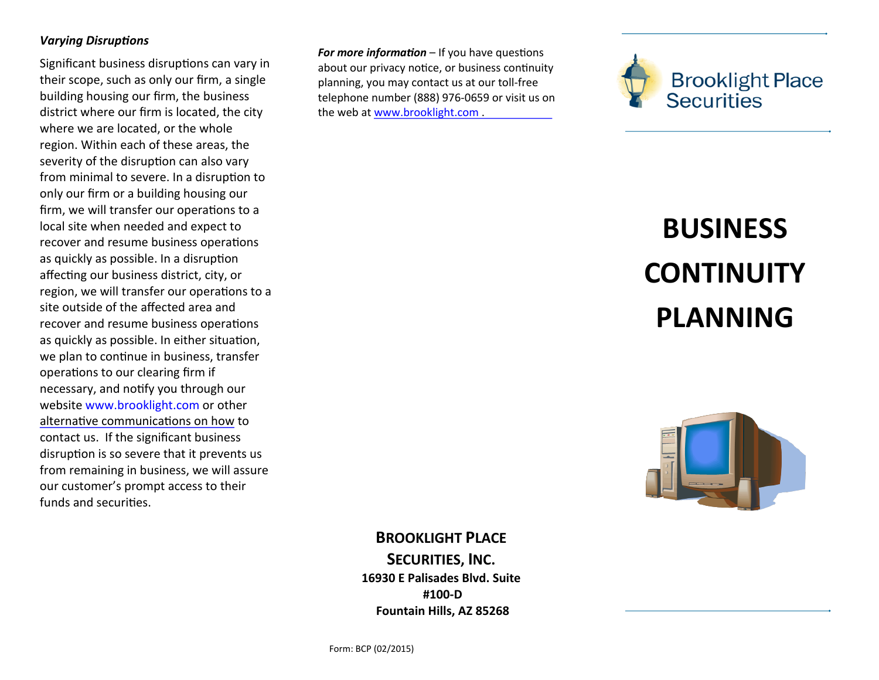## *Varying Disruptions*

Significant business disruptions can vary in their scope, such as only our firm, a single building housing our firm, the business district where our firm is located, the city where we are located, or the whole region. Within each of these areas, the severity of the disruption can also vary from minimal to severe. In a disruption to only our firm or a building housing our firm, we will transfer our operations to a local site when needed and expect to recover and resume business operations as quickly as possible. In a disruption affecting our business district, city, or region, we will transfer our operations to a site outside of the affected area and recover and resume business operations as quickly as possible. In either situation, we plan to continue in business, transfer operations to our clearing firm if necessary, and notify you through our website www.brooklight.com or other [alternative communications on how](http://www.brooklightplacesecurities.com) to contact us. If the significant business disruption is so severe that it prevents us from remaining in business, we will assure our customer's prompt access to their funds and securities.

*For more information* – If you have questions about our privacy notice, or business continuity planning, you may contact us at our toll-free telephone number (888) 976-0659 or visit us on the web at [www.brooklight.com .](http://www.brooklightplacesecurities.com)



## **BUSINESS CONTINUITY PLANNING**



**BROOKLIGHT PLACE SECURITIES, INC. 16930 E Palisades Blvd. Suite #100-D Fountain Hills, AZ 85268**

Form: BCP (02/2015)